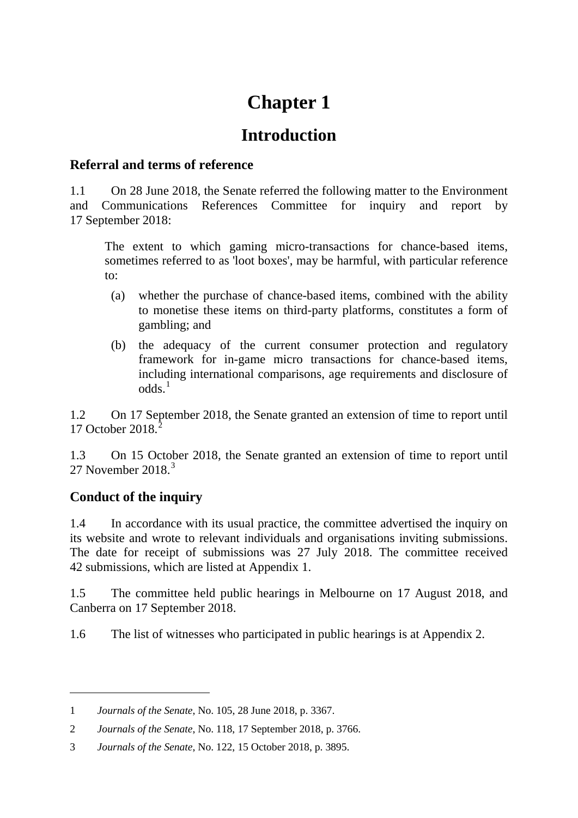# **Chapter 1**

## **Introduction**

#### **Referral and terms of reference**

1.1 On 28 June 2018, the Senate referred the following matter to the Environment and Communications References Committee for inquiry and report by 17 September 2018:

The extent to which gaming micro-transactions for chance-based items, sometimes referred to as 'loot boxes', may be harmful, with particular reference to:

- (a) whether the purchase of chance-based items, combined with the ability to monetise these items on third-party platforms, constitutes a form of gambling; and
- (b) the adequacy of the current consumer protection and regulatory framework for in-game micro transactions for chance-based items, including international comparisons, age requirements and disclosure of  $odds<sup>1</sup>$  $odds<sup>1</sup>$  $odds<sup>1</sup>$

1.2 On 17 September 2018, the Senate granted an extension of time to report until 17 October [2](#page-0-1)018.<sup>2</sup>

1.3 On 15 October 2018, the Senate granted an extension of time to report until 27 November 2018<sup>[3](#page-0-2)</sup>

#### **Conduct of the inquiry**

-

1.4 In accordance with its usual practice, the committee advertised the inquiry on its website and wrote to relevant individuals and organisations inviting submissions. The date for receipt of submissions was 27 July 2018. The committee received 42 submissions, which are listed at Appendix 1.

1.5 The committee held public hearings in Melbourne on 17 August 2018, and Canberra on 17 September 2018.

1.6 The list of witnesses who participated in public hearings is at Appendix 2.

<span id="page-0-0"></span><sup>1</sup> *Journals of the Senate*, No. 105, 28 June 2018, p. 3367.

<span id="page-0-1"></span><sup>2</sup> *Journals of the Senate*, No. 118, 17 September 2018, p. 3766.

<span id="page-0-2"></span><sup>3</sup> *Journals of the Senate*, No. 122, 15 October 2018, p. 3895.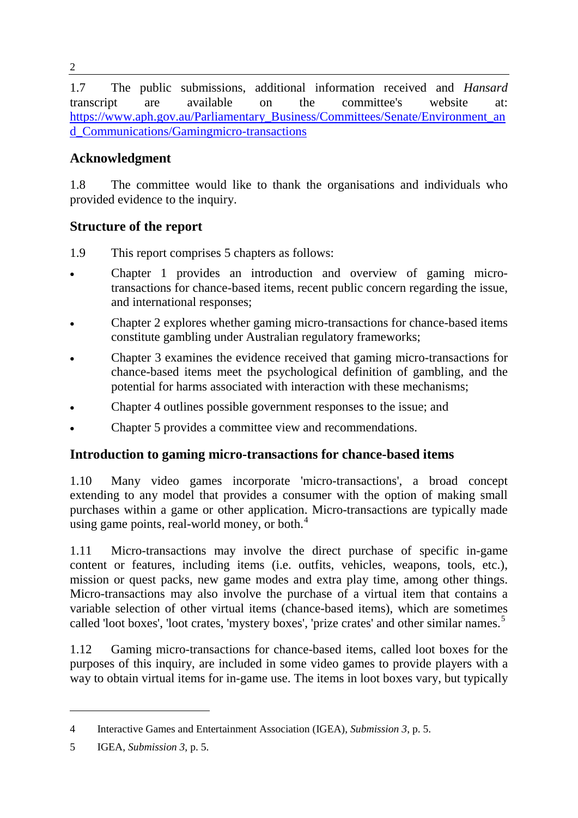1.7 The public submissions, additional information received and *Hansard* transcript are available on the committee's website at: [https://www.aph.gov.au/Parliamentary\\_Business/Committees/Senate/Environment\\_an](https://www.aph.gov.au/Parliamentary_Business/Committees/Senate/Environment_and_Communications/Gamingmicro-transactions) [d\\_Communications/Gamingmicro-transactions](https://www.aph.gov.au/Parliamentary_Business/Committees/Senate/Environment_and_Communications/Gamingmicro-transactions)

### **Acknowledgment**

1.8 The committee would like to thank the organisations and individuals who provided evidence to the inquiry.

#### **Structure of the report**

1.9 This report comprises 5 chapters as follows:

- Chapter 1 provides an introduction and overview of gaming microtransactions for chance-based items, recent public concern regarding the issue, and international responses;
- Chapter 2 explores whether gaming micro-transactions for chance-based items constitute gambling under Australian regulatory frameworks;
- Chapter 3 examines the evidence received that gaming micro-transactions for chance-based items meet the psychological definition of gambling, and the potential for harms associated with interaction with these mechanisms;
- Chapter 4 outlines possible government responses to the issue; and
- Chapter 5 provides a committee view and recommendations.

## **Introduction to gaming micro-transactions for chance-based items**

1.10 Many video games incorporate 'micro-transactions', a broad concept extending to any model that provides a consumer with the option of making small purchases within a game or other application. Micro-transactions are typically made using game points, real-world money, or both.<sup>[4](#page-1-0)</sup>

1.11 Micro-transactions may involve the direct purchase of specific in-game content or features, including items (i.e. outfits, vehicles, weapons, tools, etc.), mission or quest packs, new game modes and extra play time, among other things. Micro-transactions may also involve the purchase of a virtual item that contains a variable selection of other virtual items (chance-based items), which are sometimes called 'loot boxes', 'loot crates, 'mystery boxes', 'prize crates' and other similar names.<sup>[5](#page-1-1)</sup>

1.12 Gaming micro-transactions for chance-based items, called loot boxes for the purposes of this inquiry, are included in some video games to provide players with a way to obtain virtual items for in-game use. The items in loot boxes vary, but typically

-

2

<span id="page-1-0"></span><sup>4</sup> Interactive Games and Entertainment Association (IGEA), *Submission 3*, p. 5.

<span id="page-1-1"></span><sup>5</sup> IGEA, *Submission 3*, p. 5.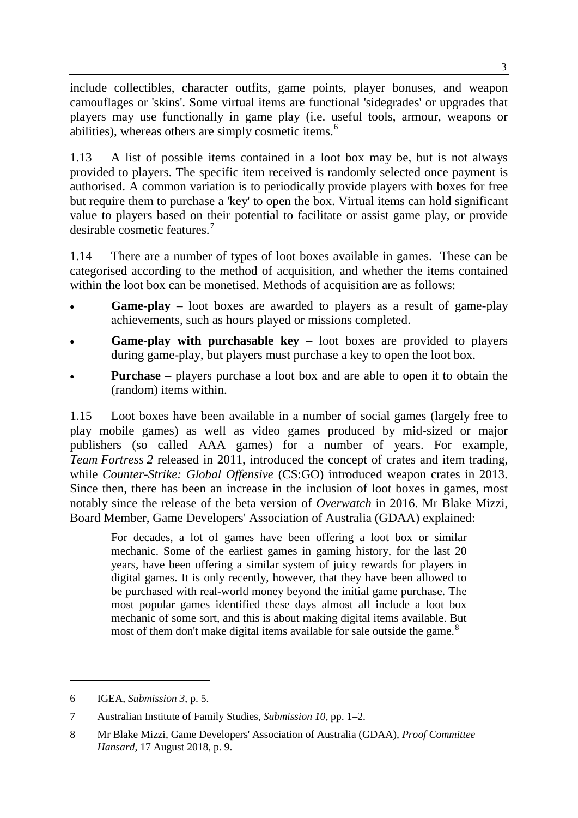include collectibles, character outfits, game points, player bonuses, and weapon camouflages or 'skins'. Some virtual items are functional 'sidegrades' or upgrades that players may use functionally in game play (i.e. useful tools, armour, weapons or abilities), whereas others are simply cosmetic items.<sup>[6](#page-2-0)</sup>

1.13 A list of possible items contained in a loot box may be, but is not always provided to players. The specific item received is randomly selected once payment is authorised. A common variation is to periodically provide players with boxes for free but require them to purchase a 'key' to open the box. Virtual items can hold significant value to players based on their potential to facilitate or assist game play, or provide desirable cosmetic features.[7](#page-2-1)

1.14 There are a number of types of loot boxes available in games. These can be categorised according to the method of acquisition, and whether the items contained within the loot box can be monetised. Methods of acquisition are as follows:

- **Game-play** loot boxes are awarded to players as a result of game-play achievements, such as hours played or missions completed.
- **Game-play with purchasable key** loot boxes are provided to players during game-play, but players must purchase a key to open the loot box.
- **Purchase** players purchase a loot box and are able to open it to obtain the (random) items within.

1.15 Loot boxes have been available in a number of social games (largely free to play mobile games) as well as video games produced by mid-sized or major publishers (so called AAA games) for a number of years. For example, *Team Fortress 2* released in 2011, introduced the concept of crates and item trading, while *Counter-Strike: Global Offensive* (CS:GO) introduced weapon crates in 2013. Since then, there has been an increase in the inclusion of loot boxes in games, most notably since the release of the beta version of *Overwatch* in 2016. Mr Blake Mizzi, Board Member, Game Developers' Association of Australia (GDAA) explained:

For decades, a lot of games have been offering a loot box or similar mechanic. Some of the earliest games in gaming history, for the last 20 years, have been offering a similar system of juicy rewards for players in digital games. It is only recently, however, that they have been allowed to be purchased with real-world money beyond the initial game purchase. The most popular games identified these days almost all include a loot box mechanic of some sort, and this is about making digital items available. But most of them don't make digital items available for sale outside the game.<sup>[8](#page-2-2)</sup>

-

<span id="page-2-0"></span><sup>6</sup> IGEA, *Submission 3*, p. 5.

<span id="page-2-1"></span><sup>7</sup> Australian Institute of Family Studies, *Submission 10*, pp. 1–2.

<span id="page-2-2"></span><sup>8</sup> Mr Blake Mizzi, Game Developers' Association of Australia (GDAA), *Proof Committee Hansard*, 17 August 2018, p. 9.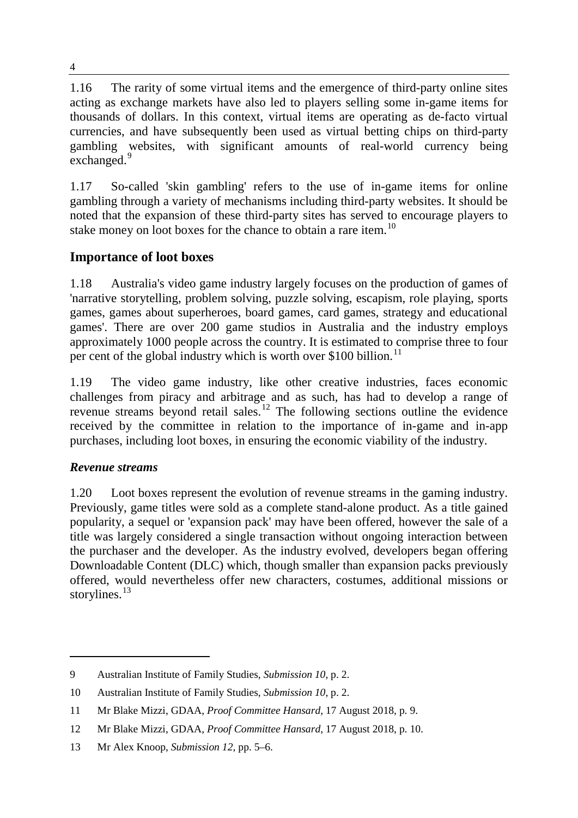1.16 The rarity of some virtual items and the emergence of third-party online sites acting as exchange markets have also led to players selling some in-game items for thousands of dollars. In this context, virtual items are operating as de-facto virtual currencies, and have subsequently been used as virtual betting chips on third-party gambling websites, with significant amounts of real-world currency being exchanged.<sup>[9](#page-3-0)</sup>

1.17 So-called 'skin gambling' refers to the use of in-game items for online gambling through a variety of mechanisms including third-party websites. It should be noted that the expansion of these third-party sites has served to encourage players to stake money on loot boxes for the chance to obtain a rare item.<sup>[10](#page-3-1)</sup>

#### **Importance of loot boxes**

1.18 Australia's video game industry largely focuses on the production of games of 'narrative storytelling, problem solving, puzzle solving, escapism, role playing, sports games, games about superheroes, board games, card games, strategy and educational games'. There are over 200 game studios in Australia and the industry employs approximately 1000 people across the country. It is estimated to comprise three to four per cent of the global industry which is worth over \$100 billion.<sup>[11](#page-3-2)</sup>

1.19 The video game industry, like other creative industries, faces economic challenges from piracy and arbitrage and as such, has had to develop a range of revenue streams beyond retail sales.<sup>[12](#page-3-3)</sup> The following sections outline the evidence received by the committee in relation to the importance of in-game and in-app purchases, including loot boxes, in ensuring the economic viability of the industry.

#### *Revenue streams*

-

1.20 Loot boxes represent the evolution of revenue streams in the gaming industry. Previously, game titles were sold as a complete stand-alone product. As a title gained popularity, a sequel or 'expansion pack' may have been offered, however the sale of a title was largely considered a single transaction without ongoing interaction between the purchaser and the developer. As the industry evolved, developers began offering Downloadable Content (DLC) which, though smaller than expansion packs previously offered, would nevertheless offer new characters, costumes, additional missions or storylines.<sup>[13](#page-3-4)</sup>

<span id="page-3-0"></span><sup>9</sup> Australian Institute of Family Studies, *Submission 10*, p. 2.

<span id="page-3-1"></span><sup>10</sup> Australian Institute of Family Studies, *Submission 10*, p. 2.

<span id="page-3-2"></span><sup>11</sup> Mr Blake Mizzi, GDAA, *Proof Committee Hansard*, 17 August 2018, p. 9.

<span id="page-3-3"></span><sup>12</sup> Mr Blake Mizzi, GDAA, *Proof Committee Hansard*, 17 August 2018, p. 10.

<span id="page-3-4"></span><sup>13</sup> Mr Alex Knoop, *Submission 12*, pp. 5–6.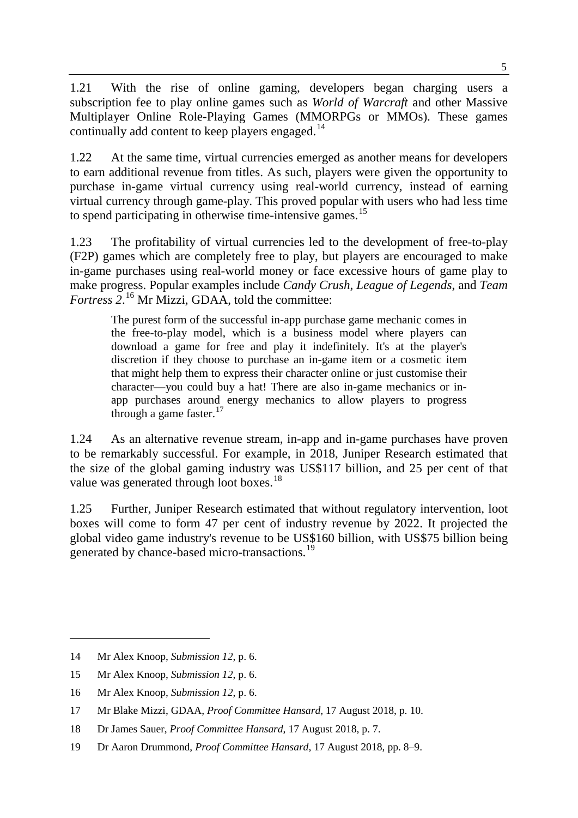1.21 With the rise of online gaming, developers began charging users a subscription fee to play online games such as *World of Warcraft* and other Massive Multiplayer Online Role-Playing Games (MMORPGs or MMOs). These games continually add content to keep players engaged.<sup>[14](#page-4-0)</sup>

1.22 At the same time, virtual currencies emerged as another means for developers to earn additional revenue from titles. As such, players were given the opportunity to purchase in-game virtual currency using real-world currency, instead of earning virtual currency through game-play. This proved popular with users who had less time to spend participating in otherwise time-intensive games.<sup>[15](#page-4-1)</sup>

1.23 The profitability of virtual currencies led to the development of free-to-play (F2P) games which are completely free to play, but players are encouraged to make in-game purchases using real-world money or face excessive hours of game play to make progress. Popular examples include *Candy Crush*, *League of Legends*, and *Team Fortress 2*. [16](#page-4-2) Mr Mizzi, GDAA, told the committee:

The purest form of the successful in-app purchase game mechanic comes in the free-to-play model, which is a business model where players can download a game for free and play it indefinitely. It's at the player's discretion if they choose to purchase an in-game item or a cosmetic item that might help them to express their character online or just customise their character—you could buy a hat! There are also in-game mechanics or inapp purchases around energy mechanics to allow players to progress through a game faster. $17$ 

1.24 As an alternative revenue stream, in-app and in-game purchases have proven to be remarkably successful. For example, in 2018, Juniper Research estimated that the size of the global gaming industry was US\$117 billion, and 25 per cent of that value was generated through loot boxes.<sup>[18](#page-4-4)</sup>

1.25 Further, Juniper Research estimated that without regulatory intervention, loot boxes will come to form 47 per cent of industry revenue by 2022. It projected the global video game industry's revenue to be US\$160 billion, with US\$75 billion being generated by chance-based micro-transactions.<sup>[19](#page-4-5)</sup>

-

<span id="page-4-0"></span><sup>14</sup> Mr Alex Knoop, *Submission 12*, p. 6.

<span id="page-4-1"></span><sup>15</sup> Mr Alex Knoop, *Submission 12*, p. 6.

<span id="page-4-2"></span><sup>16</sup> Mr Alex Knoop, *Submission 12*, p. 6.

<span id="page-4-3"></span><sup>17</sup> Mr Blake Mizzi, GDAA, *Proof Committee Hansard*, 17 August 2018, p. 10.

<span id="page-4-4"></span><sup>18</sup> Dr James Sauer, *Proof Committee Hansard*, 17 August 2018, p. 7.

<span id="page-4-5"></span><sup>19</sup> Dr Aaron Drummond, *Proof Committee Hansard*, 17 August 2018, pp. 8–9.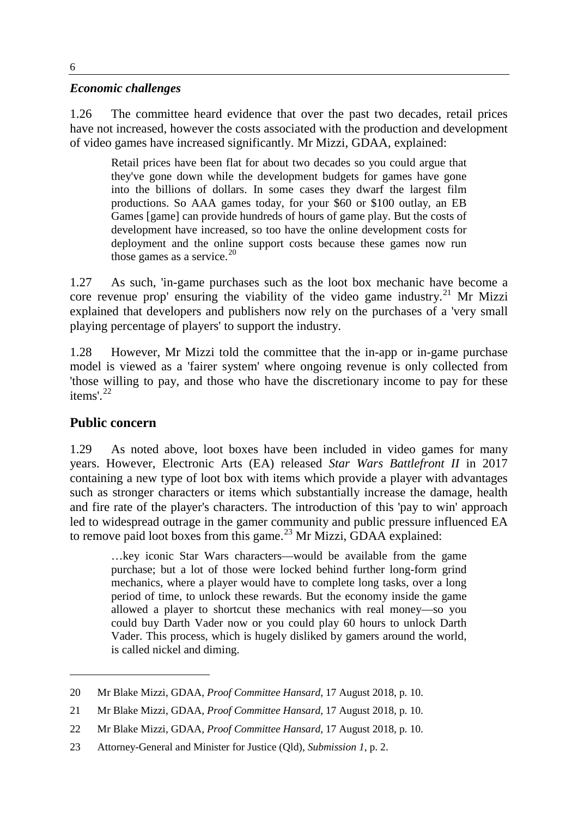#### *Economic challenges*

1.26 The committee heard evidence that over the past two decades, retail prices have not increased, however the costs associated with the production and development of video games have increased significantly. Mr Mizzi, GDAA, explained:

Retail prices have been flat for about two decades so you could argue that they've gone down while the development budgets for games have gone into the billions of dollars. In some cases they dwarf the largest film productions. So AAA games today, for your \$60 or \$100 outlay, an EB Games [game] can provide hundreds of hours of game play. But the costs of development have increased, so too have the online development costs for deployment and the online support costs because these games now run those games as a service. $^{20}$  $^{20}$  $^{20}$ 

1.27 As such, 'in-game purchases such as the loot box mechanic have become a core revenue prop' ensuring the viability of the video game industry.<sup>[21](#page-5-1)</sup> Mr Mizzi explained that developers and publishers now rely on the purchases of a 'very small playing percentage of players' to support the industry.

1.28 However, Mr Mizzi told the committee that the in-app or in-game purchase model is viewed as a 'fairer system' where ongoing revenue is only collected from 'those willing to pay, and those who have the discretionary income to pay for these items'. [22](#page-5-2)

#### **Public concern**

-

1.29 As noted above, loot boxes have been included in video games for many years. However, Electronic Arts (EA) released *Star Wars Battlefront II* in 2017 containing a new type of loot box with items which provide a player with advantages such as stronger characters or items which substantially increase the damage, health and fire rate of the player's characters. The introduction of this 'pay to win' approach led to widespread outrage in the gamer community and public pressure influenced EA to remove paid loot boxes from this game.<sup>[23](#page-5-3)</sup> Mr Mizzi, GDAA explained:

…key iconic Star Wars characters—would be available from the game purchase; but a lot of those were locked behind further long-form grind mechanics, where a player would have to complete long tasks, over a long period of time, to unlock these rewards. But the economy inside the game allowed a player to shortcut these mechanics with real money—so you could buy Darth Vader now or you could play 60 hours to unlock Darth Vader. This process, which is hugely disliked by gamers around the world, is called nickel and diming.

<span id="page-5-0"></span><sup>20</sup> Mr Blake Mizzi, GDAA, *Proof Committee Hansard*, 17 August 2018, p. 10.

<span id="page-5-1"></span><sup>21</sup> Mr Blake Mizzi, GDAA, *Proof Committee Hansard*, 17 August 2018, p. 10.

<span id="page-5-2"></span><sup>22</sup> Mr Blake Mizzi, GDAA, *Proof Committee Hansard*, 17 August 2018, p. 10.

<span id="page-5-3"></span><sup>23</sup> Attorney-General and Minister for Justice (Qld), *Submission 1*, p. 2.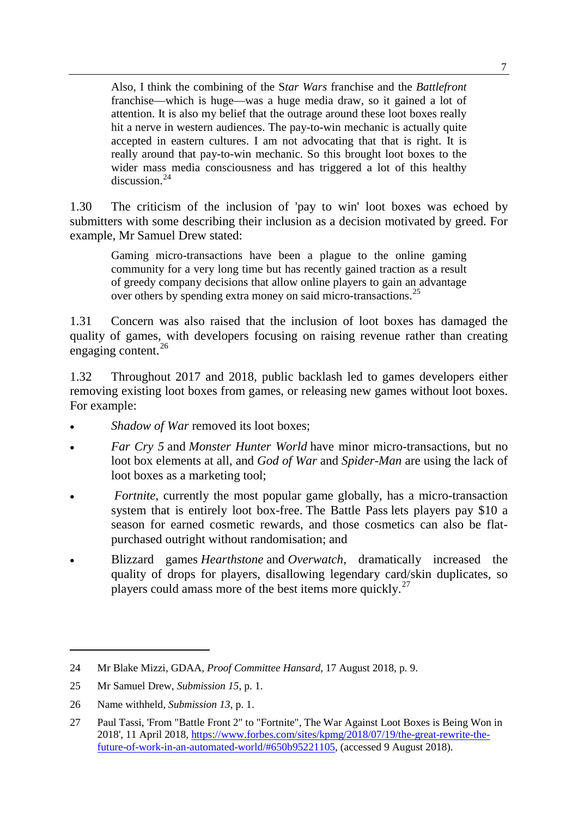Also, I think the combining of the S*tar Wars* franchise and the *Battlefront* franchise—which is huge—was a huge media draw, so it gained a lot of attention. It is also my belief that the outrage around these loot boxes really hit a nerve in western audiences. The pay-to-win mechanic is actually quite accepted in eastern cultures. I am not advocating that that is right. It is really around that pay-to-win mechanic. So this brought loot boxes to the wider mass media consciousness and has triggered a lot of this healthy discussion. $24$ 

1.30 The criticism of the inclusion of 'pay to win' loot boxes was echoed by submitters with some describing their inclusion as a decision motivated by greed. For example, Mr Samuel Drew stated:

Gaming micro-transactions have been a plague to the online gaming community for a very long time but has recently gained traction as a result of greedy company decisions that allow online players to gain an advantage over others by spending extra money on said micro-transactions.<sup>[25](#page-6-1)</sup>

1.31 Concern was also raised that the inclusion of loot boxes has damaged the quality of games, with developers focusing on raising revenue rather than creating engaging content. $^{26}$  $^{26}$  $^{26}$ 

1.32 Throughout 2017 and 2018, public backlash led to games developers either removing existing loot boxes from games, or releasing new games without loot boxes. For example:

- *Shadow of War* removed its loot boxes;
- *Far Cry 5* and *Monster Hunter World* have minor micro-transactions, but no loot box elements at all, and *God of War* and *Spider-Man* are using the lack of loot boxes as a marketing tool;
- *Fortnite*, currently the most popular game globally, has a micro-transaction system that is entirely loot box-free. The Battle Pass lets players pay \$10 a season for earned cosmetic rewards, and those cosmetics can also be flatpurchased outright without randomisation; and
- Blizzard games *Hearthstone* and *Overwatch*, dramatically increased the quality of drops for players, disallowing legendary card/skin duplicates, so players could amass more of the best items more quickly.<sup>[27](#page-6-3)</sup>

-

<span id="page-6-1"></span><span id="page-6-0"></span><sup>24</sup> Mr Blake Mizzi, GDAA, *Proof Committee Hansard*, 17 August 2018, p. 9.

<span id="page-6-2"></span><sup>25</sup> Mr Samuel Drew, *Submission 15*, p. 1.

<span id="page-6-3"></span><sup>26</sup> Name withheld, *Submission 13*, p. 1.

<sup>27</sup> Paul Tassi, 'From "Battle Front 2" to "Fortnite", The War Against Loot Boxes is Being Won in 2018', 11 April 2018, [https://www.forbes.com/sites/kpmg/2018/07/19/the-great-rewrite-the](https://www.forbes.com/sites/kpmg/2018/07/19/the-great-rewrite-the-future-of-work-in-an-automated-world/#650b95221105)[future-of-work-in-an-automated-world/#650b95221105,](https://www.forbes.com/sites/kpmg/2018/07/19/the-great-rewrite-the-future-of-work-in-an-automated-world/#650b95221105) (accessed 9 August 2018).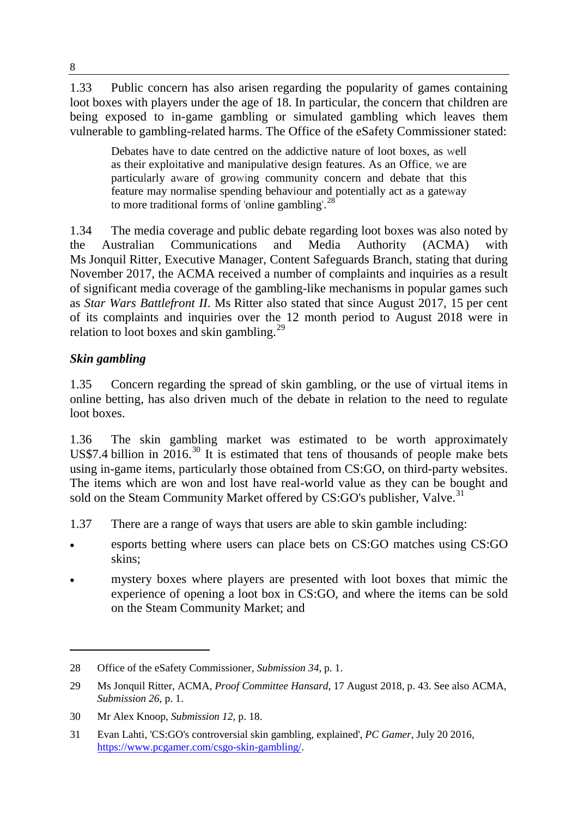1.33 Public concern has also arisen regarding the popularity of games containing loot boxes with players under the age of 18. In particular, the concern that children are being exposed to in-game gambling or simulated gambling which leaves them vulnerable to gambling-related harms. The Office of the eSafety Commissioner stated:

Debates have to date centred on the addictive nature of loot boxes, as well as their exploitative and manipulative design features. As an Office, we are particularly aware of growing community concern and debate that this feature may normalise spending behaviour and potentially act as a gateway to more traditional forms of 'online gambling'.<sup>[28](#page-7-0)</sup>

1.34 The media coverage and public debate regarding loot boxes was also noted by the Australian Communications and Media Authority (ACMA) with Ms Jonquil Ritter, Executive Manager, Content Safeguards Branch, stating that during November 2017, the ACMA received a number of complaints and inquiries as a result of significant media coverage of the gambling-like mechanisms in popular games such as *Star Wars Battlefront II*. Ms Ritter also stated that since August 2017, 15 per cent of its complaints and inquiries over the 12 month period to August 2018 were in relation to loot boxes and skin gambling. $29$ 

#### *Skin gambling*

-

1.35 Concern regarding the spread of skin gambling, or the use of virtual items in online betting, has also driven much of the debate in relation to the need to regulate loot boxes.

1.36 The skin gambling market was estimated to be worth approximately US\$7.4 billion in 2016.<sup>[30](#page-7-2)</sup> It is estimated that tens of thousands of people make bets using in-game items, particularly those obtained from CS:GO, on third-party websites. The items which are won and lost have real-world value as they can be bought and sold on the Steam Community Market offered by  $CS:GO's$  publisher, Valve.<sup>[31](#page-7-3)</sup>

- 1.37 There are a range of ways that users are able to skin gamble including:
- esports betting where users can place bets on CS:GO matches using CS:GO skins;
- mystery boxes where players are presented with loot boxes that mimic the experience of opening a loot box in CS:GO, and where the items can be sold on the Steam Community Market; and

<span id="page-7-0"></span><sup>28</sup> Office of the eSafety Commissioner, *Submission 34*, p. 1.

<span id="page-7-1"></span><sup>29</sup> Ms Jonquil Ritter, ACMA, *Proof Committee Hansard*, 17 August 2018, p. 43. See also ACMA, *Submission 26*, p. 1.

<span id="page-7-2"></span><sup>30</sup> Mr Alex Knoop, *Submission 12*, p. 18.

<span id="page-7-3"></span><sup>31</sup> Evan Lahti, 'CS:GO's controversial skin gambling, explained', *PC Gamer*, July 20 2016, [https://www.pcgamer.com/csgo-skin-gambling/.](https://www.pcgamer.com/csgo-skin-gambling/)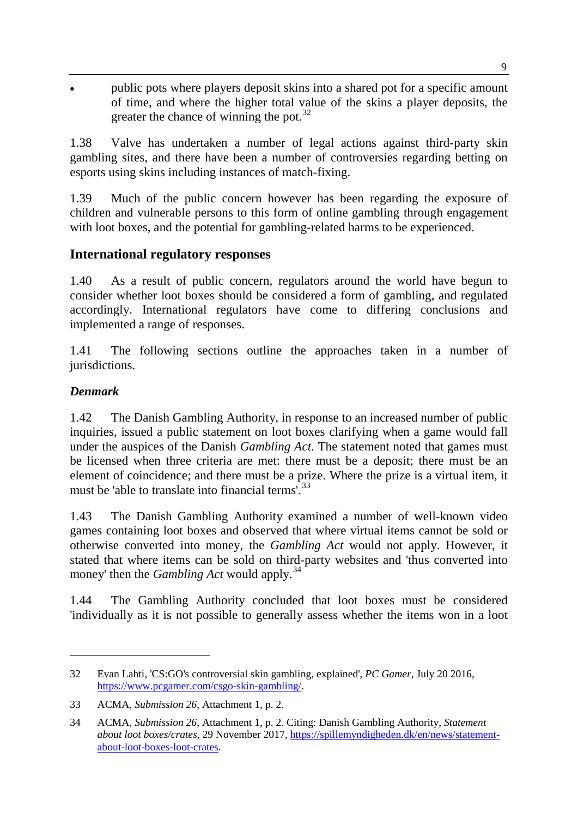• public pots where players deposit skins into a shared pot for a specific amount of time, and where the higher total value of the skins a player deposits, the greater the chance of winning the pot.<sup>[32](#page-8-0)</sup>

1.38 Valve has undertaken a number of legal actions against third-party skin gambling sites, and there have been a number of controversies regarding betting on esports using skins including instances of match-fixing.

1.39 Much of the public concern however has been regarding the exposure of children and vulnerable persons to this form of online gambling through engagement with loot boxes, and the potential for gambling-related harms to be experienced.

#### **International regulatory responses**

1.40 As a result of public concern, regulators around the world have begun to consider whether loot boxes should be considered a form of gambling, and regulated accordingly. International regulators have come to differing conclusions and implemented a range of responses.

1.41 The following sections outline the approaches taken in a number of jurisdictions.

#### *Denmark*

-

1.42 The Danish Gambling Authority, in response to an increased number of public inquiries, issued a public statement on loot boxes clarifying when a game would fall under the auspices of the Danish *Gambling Act*. The statement noted that games must be licensed when three criteria are met: there must be a deposit; there must be an element of coincidence; and there must be a prize. Where the prize is a virtual item, it must be 'able to translate into financial terms'.<sup>[33](#page-8-1)</sup>

1.43 The Danish Gambling Authority examined a number of well-known video games containing loot boxes and observed that where virtual items cannot be sold or otherwise converted into money, the *Gambling Act* would not apply. However, it stated that where items can be sold on third-party websites and 'thus converted into money' then the *Gambling Act* would apply.[34](#page-8-2)

1.44 The Gambling Authority concluded that loot boxes must be considered 'individually as it is not possible to generally assess whether the items won in a loot

<span id="page-8-0"></span><sup>32</sup> Evan Lahti, 'CS:GO's controversial skin gambling, explained', *PC Gamer*, July 20 2016, [https://www.pcgamer.com/csgo-skin-gambling/.](https://www.pcgamer.com/csgo-skin-gambling/)

<span id="page-8-1"></span><sup>33</sup> ACMA, *Submission 26*, Attachment 1, p. 2.

<span id="page-8-2"></span><sup>34</sup> ACMA, *Submission 26*, Attachment 1, p. 2. Citing: Danish Gambling Authority, *Statement about loot boxes/crates*, 29 November 2017, [https://spillemyndigheden.dk/en/news/statement](https://spillemyndigheden.dk/en/news/statement-about-loot-boxes-loot-crates)[about-loot-boxes-loot-crates.](https://spillemyndigheden.dk/en/news/statement-about-loot-boxes-loot-crates)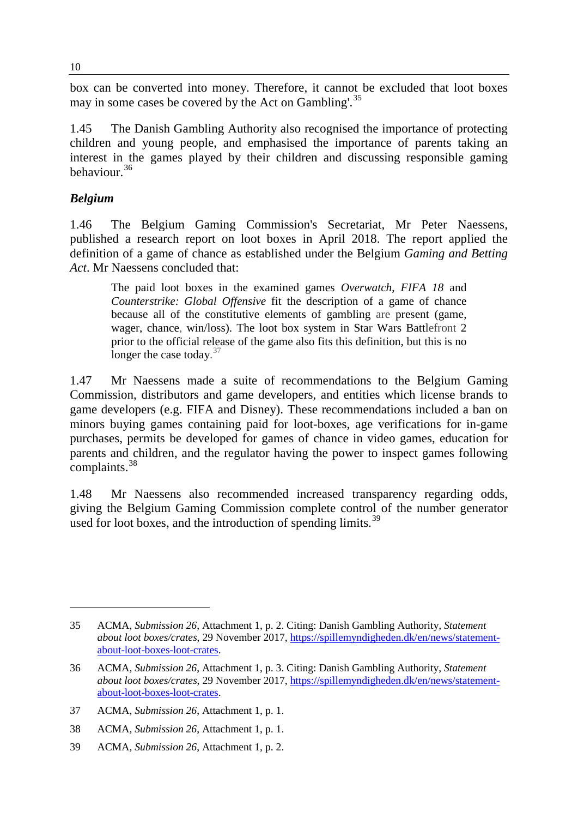box can be converted into money. Therefore, it cannot be excluded that loot boxes may in some cases be covered by the Act on Gambling'.<sup>[35](#page-9-0)</sup>

1.45 The Danish Gambling Authority also recognised the importance of protecting children and young people, and emphasised the importance of parents taking an interest in the games played by their children and discussing responsible gaming behaviour.[36](#page-9-1)

#### *Belgium*

-

1.46 The Belgium Gaming Commission's Secretariat, Mr Peter Naessens, published a research report on loot boxes in April 2018. The report applied the definition of a game of chance as established under the Belgium *Gaming and Betting Act*. Mr Naessens concluded that:

The paid loot boxes in the examined games *Overwatch*, *FIFA 18* and *Counterstrike: Global Offensive* fit the description of a game of chance because all of the constitutive elements of gambling are present (game, wager, chance, win/loss). The loot box system in Star Wars Battlefront 2 prior to the official release of the game also fits this definition, but this is no longer the case today. $37$ 

1.47 Mr Naessens made a suite of recommendations to the Belgium Gaming Commission, distributors and game developers, and entities which license brands to game developers (e.g. FIFA and Disney). These recommendations included a ban on minors buying games containing paid for loot-boxes, age verifications for in-game purchases, permits be developed for games of chance in video games, education for parents and children, and the regulator having the power to inspect games following complaints.[38](#page-9-3)

1.48 Mr Naessens also recommended increased transparency regarding odds, giving the Belgium Gaming Commission complete control of the number generator used for loot boxes, and the introduction of spending limits. $39$ 

10

<span id="page-9-0"></span><sup>35</sup> ACMA, *Submission 26*, Attachment 1, p. 2. Citing: Danish Gambling Authority, *Statement about loot boxes/crates*, 29 November 2017, [https://spillemyndigheden.dk/en/news/statement](https://spillemyndigheden.dk/en/news/statement-about-loot-boxes-loot-crates)[about-loot-boxes-loot-crates.](https://spillemyndigheden.dk/en/news/statement-about-loot-boxes-loot-crates)

<span id="page-9-1"></span><sup>36</sup> ACMA, *Submission 26*, Attachment 1, p. 3. Citing: Danish Gambling Authority, *Statement about loot boxes/crates*, 29 November 2017, [https://spillemyndigheden.dk/en/news/statement](https://spillemyndigheden.dk/en/news/statement-about-loot-boxes-loot-crates)[about-loot-boxes-loot-crates.](https://spillemyndigheden.dk/en/news/statement-about-loot-boxes-loot-crates)

<span id="page-9-2"></span><sup>37</sup> ACMA, *Submission 26*, Attachment 1, p. 1.

<span id="page-9-3"></span><sup>38</sup> ACMA, *Submission 26*, Attachment 1, p. 1.

<span id="page-9-4"></span><sup>39</sup> ACMA, *Submission 26*, Attachment 1, p. 2.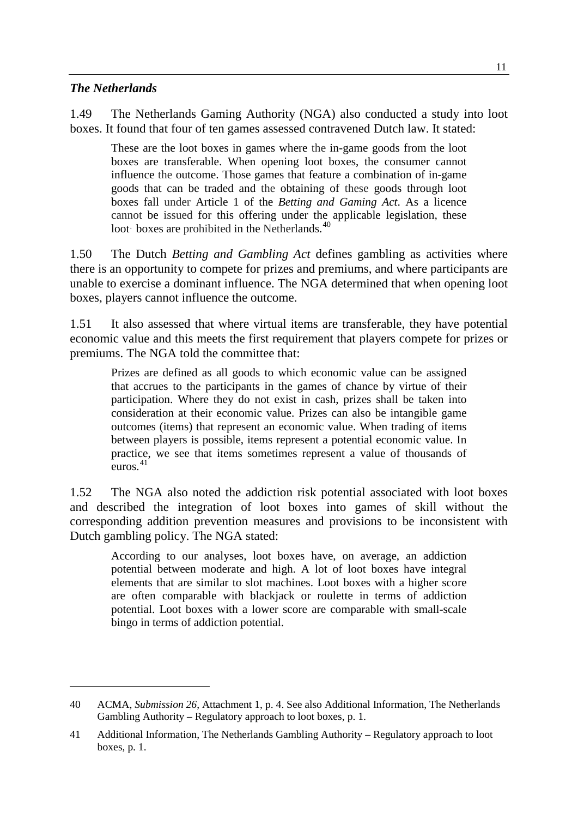#### *The Netherlands*

-

1.49 The Netherlands Gaming Authority (NGA) also conducted a study into loot boxes. It found that four of ten games assessed contravened Dutch law. It stated:

These are the loot boxes in games where the in-game goods from the loot boxes are transferable. When opening loot boxes, the consumer cannot influence the outcome. Those games that feature a combination of in-game goods that can be traded and the obtaining of these goods through loot boxes fall under Article 1 of the *Betting and Gaming Act*. As a licence cannot be issued for this offering under the applicable legislation, these loot-boxes are prohibited in the Netherlands. $40$ 

1.50 The Dutch *Betting and Gambling Act* defines gambling as activities where there is an opportunity to compete for prizes and premiums, and where participants are unable to exercise a dominant influence. The NGA determined that when opening loot boxes, players cannot influence the outcome.

1.51 It also assessed that where virtual items are transferable, they have potential economic value and this meets the first requirement that players compete for prizes or premiums. The NGA told the committee that:

Prizes are defined as all goods to which economic value can be assigned that accrues to the participants in the games of chance by virtue of their participation. Where they do not exist in cash, prizes shall be taken into consideration at their economic value. Prizes can also be intangible game outcomes (items) that represent an economic value. When trading of items between players is possible, items represent a potential economic value. In practice, we see that items sometimes represent a value of thousands of euros. [41](#page-10-1)

1.52 The NGA also noted the addiction risk potential associated with loot boxes and described the integration of loot boxes into games of skill without the corresponding addition prevention measures and provisions to be inconsistent with Dutch gambling policy. The NGA stated:

According to our analyses, loot boxes have, on average, an addiction potential between moderate and high. A lot of loot boxes have integral elements that are similar to slot machines. Loot boxes with a higher score are often comparable with blackjack or roulette in terms of addiction potential. Loot boxes with a lower score are comparable with small-scale bingo in terms of addiction potential.

<span id="page-10-0"></span><sup>40</sup> ACMA, *Submission 26*, Attachment 1, p. 4. See also Additional Information, The Netherlands Gambling Authority – Regulatory approach to loot boxes, p. 1.

<span id="page-10-1"></span><sup>41</sup> Additional Information, The Netherlands Gambling Authority – Regulatory approach to loot boxes, p. 1.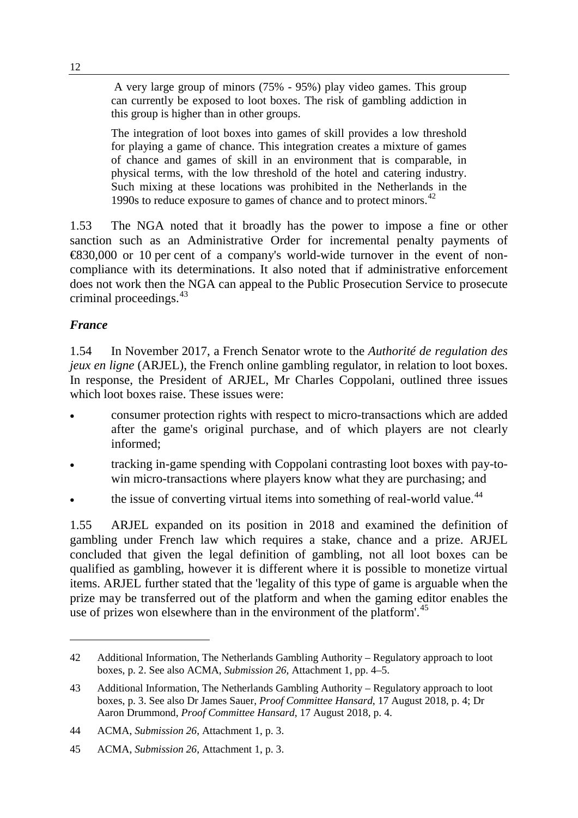A very large group of minors (75% - 95%) play video games. This group can currently be exposed to loot boxes. The risk of gambling addiction in this group is higher than in other groups.

The integration of loot boxes into games of skill provides a low threshold for playing a game of chance. This integration creates a mixture of games of chance and games of skill in an environment that is comparable, in physical terms, with the low threshold of the hotel and catering industry. Such mixing at these locations was prohibited in the Netherlands in the 1990s to reduce exposure to games of chance and to protect minors. $^{42}$  $^{42}$  $^{42}$ 

1.53 The NGA noted that it broadly has the power to impose a fine or other sanction such as an Administrative Order for incremental penalty payments of €830,000 or 10 per cent of a company's world-wide turnover in the event of noncompliance with its determinations. It also noted that if administrative enforcement does not work then the NGA can appeal to the Public Prosecution Service to prosecute criminal proceedings.  $43$ 

#### *France*

-

1.54 In November 2017, a French Senator wrote to the *Authorité de regulation des jeux en ligne* (ARJEL), the French online gambling regulator, in relation to loot boxes. In response, the President of ARJEL, Mr Charles Coppolani, outlined three issues which loot boxes raise. These issues were:

- consumer protection rights with respect to micro-transactions which are added after the game's original purchase, and of which players are not clearly informed;
- tracking in-game spending with Coppolani contrasting loot boxes with pay-towin micro-transactions where players know what they are purchasing; and
- the issue of converting virtual items into something of real-world value.<sup>[44](#page-11-2)</sup>

1.55 ARJEL expanded on its position in 2018 and examined the definition of gambling under French law which requires a stake, chance and a prize. ARJEL concluded that given the legal definition of gambling, not all loot boxes can be qualified as gambling, however it is different where it is possible to monetize virtual items. ARJEL further stated that the 'legality of this type of game is arguable when the prize may be transferred out of the platform and when the gaming editor enables the use of prizes won elsewhere than in the environment of the platform'.<sup>[45](#page-11-3)</sup>

<span id="page-11-0"></span><sup>42</sup> Additional Information, The Netherlands Gambling Authority – Regulatory approach to loot boxes, p. 2. See also ACMA, *Submission 26*, Attachment 1, pp. 4–5.

<span id="page-11-1"></span><sup>43</sup> Additional Information, The Netherlands Gambling Authority – Regulatory approach to loot boxes, p. 3. See also Dr James Sauer, *Proof Committee Hansard*, 17 August 2018, p. 4; Dr Aaron Drummond, *Proof Committee Hansard*, 17 August 2018, p. 4.

<span id="page-11-2"></span><sup>44</sup> ACMA, *Submission 26*, Attachment 1, p. 3.

<span id="page-11-3"></span><sup>45</sup> ACMA, *Submission 26*, Attachment 1, p. 3.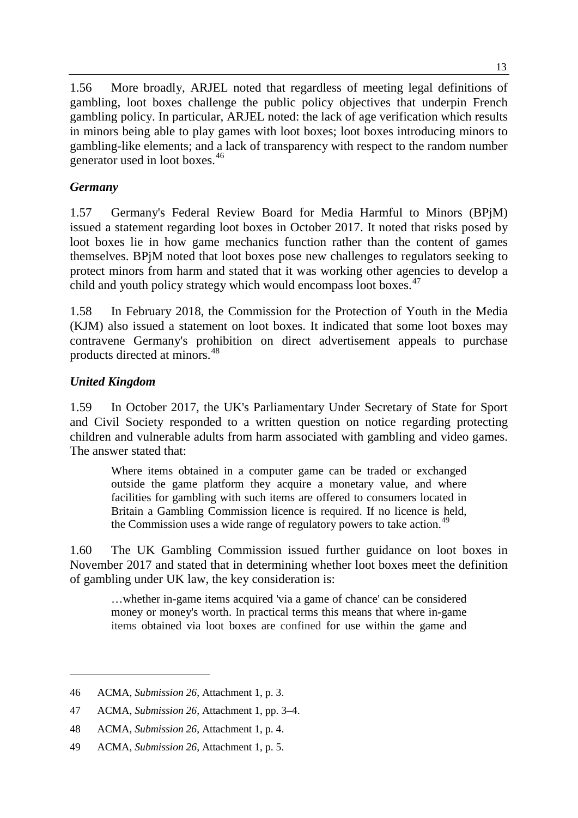1.56 More broadly, ARJEL noted that regardless of meeting legal definitions of gambling, loot boxes challenge the public policy objectives that underpin French gambling policy. In particular, ARJEL noted: the lack of age verification which results in minors being able to play games with loot boxes; loot boxes introducing minors to gambling-like elements; and a lack of transparency with respect to the random number generator used in loot boxes.<sup>[46](#page-12-0)</sup>

#### *Germany*

1.57 Germany's Federal Review Board for Media Harmful to Minors (BPjM) issued a statement regarding loot boxes in October 2017. It noted that risks posed by loot boxes lie in how game mechanics function rather than the content of games themselves. BPjM noted that loot boxes pose new challenges to regulators seeking to protect minors from harm and stated that it was working other agencies to develop a child and youth policy strategy which would encompass loot boxes.<sup>[47](#page-12-1)</sup>

1.58 In February 2018, the Commission for the Protection of Youth in the Media (KJM) also issued a statement on loot boxes. It indicated that some loot boxes may contravene Germany's prohibition on direct advertisement appeals to purchase products directed at minors.[48](#page-12-2)

#### *United Kingdom*

-

1.59 In October 2017, the UK's Parliamentary Under Secretary of State for Sport and Civil Society responded to a written question on notice regarding protecting children and vulnerable adults from harm associated with gambling and video games. The answer stated that:

Where items obtained in a computer game can be traded or exchanged outside the game platform they acquire a monetary value, and where facilities for gambling with such items are offered to consumers located in Britain a Gambling Commission licence is required. If no licence is held, the Commission uses a wide range of regulatory powers to take action.<sup>[49](#page-12-3)</sup>

1.60 The UK Gambling Commission issued further guidance on loot boxes in November 2017 and stated that in determining whether loot boxes meet the definition of gambling under UK law, the key consideration is:

…whether in-game items acquired 'via a game of chance' can be considered money or money's worth. In practical terms this means that where in-game items obtained via loot boxes are confined for use within the game and

<span id="page-12-0"></span><sup>46</sup> ACMA, *Submission 26*, Attachment 1, p. 3.

<span id="page-12-1"></span><sup>47</sup> ACMA, *Submission 26*, Attachment 1, pp. 3–4.

<span id="page-12-2"></span><sup>48</sup> ACMA, *Submission 26*, Attachment 1, p. 4.

<span id="page-12-3"></span><sup>49</sup> ACMA, *Submission 26*, Attachment 1, p. 5.